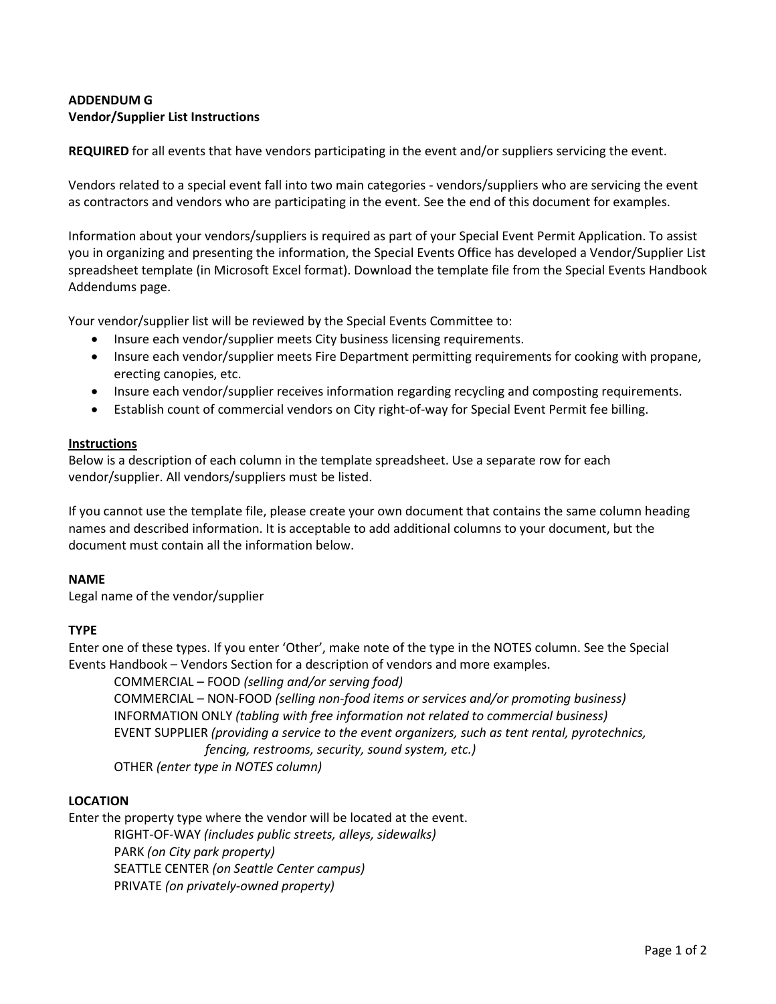# **ADDENDUM G Vendor/Supplier List Instructions**

**REQUIRED** for all events that have vendors participating in the event and/or suppliers servicing the event.

Vendors related to a special event fall into two main categories - vendors/suppliers who are servicing the event as contractors and vendors who are participating in the event. See the end of this document for examples.

Information about your vendors/suppliers is required as part of your Special Event Permit Application. To assist you in organizing and presenting the information, the Special Events Office has developed a Vendor/Supplier List spreadsheet template (in Microsoft Excel format). Download the template file from the Special Events Handbook Addendums page.

Your vendor/supplier list will be reviewed by the Special Events Committee to:

- Insure each vendor/supplier meets City business licensing requirements.
- Insure each vendor/supplier meets Fire Department permitting requirements for cooking with propane, erecting canopies, etc.
- Insure each vendor/supplier receives information regarding recycling and composting requirements.
- Establish count of commercial vendors on City right-of-way for Special Event Permit fee billing.

## **Instructions**

Below is a description of each column in the template spreadsheet. Use a separate row for each vendor/supplier. All vendors/suppliers must be listed.

If you cannot use the template file, please create your own document that contains the same column heading names and described information. It is acceptable to add additional columns to your document, but the document must contain all the information below.

## **NAME**

Legal name of the vendor/supplier

## **TYPE**

Enter one of these types. If you enter 'Other', make note of the type in the NOTES column. See the Special Events Handbook – Vendors Section for a description of vendors and more examples.

COMMERCIAL – FOOD *(selling and/or serving food)* COMMERCIAL – NON-FOOD *(selling non-food items or services and/or promoting business)* INFORMATION ONLY *(tabling with free information not related to commercial business)* EVENT SUPPLIER *(providing a service to the event organizers, such as tent rental, pyrotechnics, fencing, restrooms, security, sound system, etc.)* OTHER *(enter type in NOTES column)*

## **LOCATION**

Enter the property type where the vendor will be located at the event.

RIGHT-OF-WAY *(includes public streets, alleys, sidewalks)* PARK *(on City park property)* SEATTLE CENTER *(on Seattle Center campus)*

PRIVATE *(on privately-owned property)*